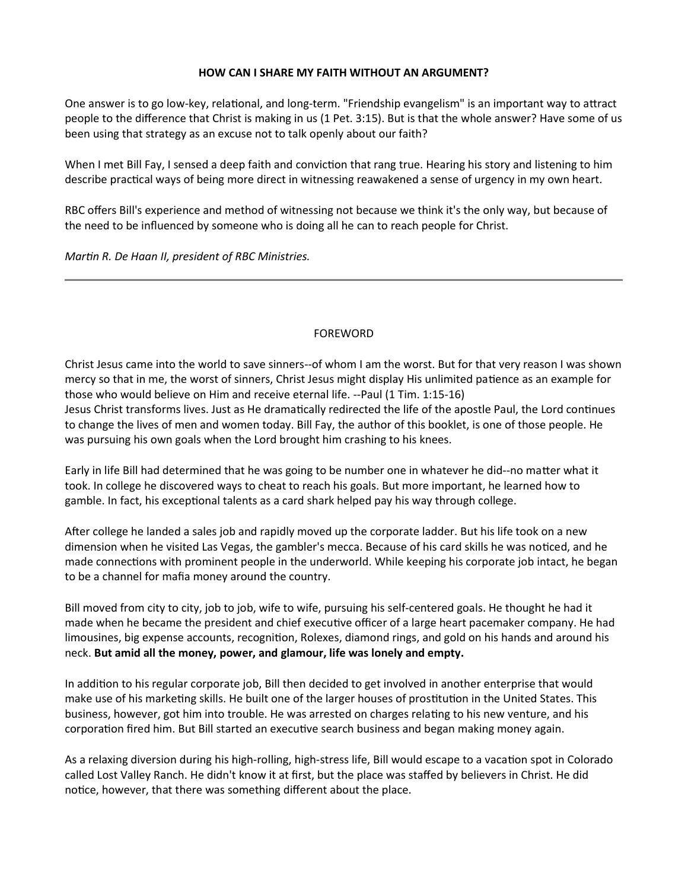#### HOW CAN I SHARE MY FAITH WITHOUT AN ARGUMENT?

One answer is to go low-key, relational, and long-term. "Friendship evangelism" is an important way to attract people to the difference that Christ is making in us (1 Pet. 3:15). But is that the whole answer? Have some of us been using that strategy as an excuse not to talk openly about our faith?

When I met Bill Fay, I sensed a deep faith and conviction that rang true. Hearing his story and listening to him describe practical ways of being more direct in witnessing reawakened a sense of urgency in my own heart.

RBC offers Bill's experience and method of witnessing not because we think it's the only way, but because of the need to be influenced by someone who is doing all he can to reach people for Christ.

Martin R. De Haan II, president of RBC Ministries.

# FOREWORD

Christ Jesus came into the world to save sinners--of whom I am the worst. But for that very reason I was shown mercy so that in me, the worst of sinners, Christ Jesus might display His unlimited patience as an example for those who would believe on Him and receive eternal life. --Paul (1 Tim. 1:15-16) Jesus Christ transforms lives. Just as He dramatically redirected the life of the apostle Paul, the Lord continues to change the lives of men and women today. Bill Fay, the author of this booklet, is one of those people. He was pursuing his own goals when the Lord brought him crashing to his knees.

Early in life Bill had determined that he was going to be number one in whatever he did--no matter what it took. In college he discovered ways to cheat to reach his goals. But more important, he learned how to gamble. In fact, his exceptional talents as a card shark helped pay his way through college.

After college he landed a sales job and rapidly moved up the corporate ladder. But his life took on a new dimension when he visited Las Vegas, the gambler's mecca. Because of his card skills he was noticed, and he made connections with prominent people in the underworld. While keeping his corporate job intact, he began to be a channel for mafia money around the country.

Bill moved from city to city, job to job, wife to wife, pursuing his self-centered goals. He thought he had it made when he became the president and chief executive officer of a large heart pacemaker company. He had limousines, big expense accounts, recognition, Rolexes, diamond rings, and gold on his hands and around his neck. But amid all the money, power, and glamour, life was lonely and empty.

In addition to his regular corporate job, Bill then decided to get involved in another enterprise that would make use of his marketing skills. He built one of the larger houses of prostitution in the United States. This business, however, got him into trouble. He was arrested on charges relating to his new venture, and his corporation fired him. But Bill started an executive search business and began making money again.

As a relaxing diversion during his high-rolling, high-stress life, Bill would escape to a vacation spot in Colorado called Lost Valley Ranch. He didn't know it at first, but the place was staffed by believers in Christ. He did notice, however, that there was something different about the place.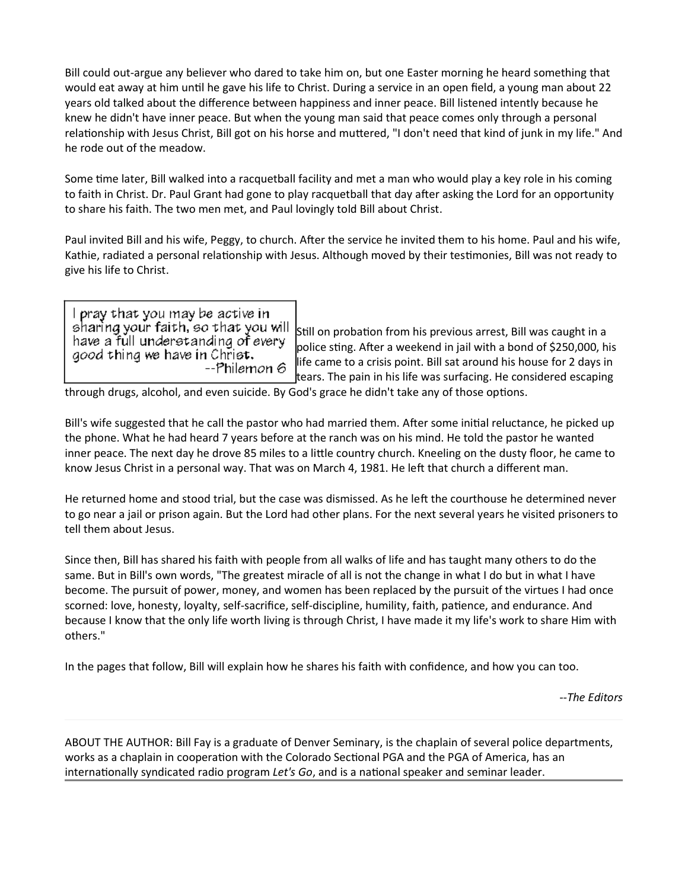Bill could out-argue any believer who dared to take him on, but one Easter morning he heard something that would eat away at him until he gave his life to Christ. During a service in an open field, a young man about 22 years old talked about the difference between happiness and inner peace. Bill listened intently because he knew he didn't have inner peace. But when the young man said that peace comes only through a personal relationship with Jesus Christ, Bill got on his horse and muttered, "I don't need that kind of junk in my life." And he rode out of the meadow.

Some time later, Bill walked into a racquetball facility and met a man who would play a key role in his coming to faith in Christ. Dr. Paul Grant had gone to play racquetball that day after asking the Lord for an opportunity to share his faith. The two men met, and Paul lovingly told Bill about Christ.

Paul invited Bill and his wife, Peggy, to church. After the service he invited them to his home. Paul and his wife, Kathie, radiated a personal relationship with Jesus. Although moved by their testimonies, Bill was not ready to give his life to Christ.

l pray that you may be active in. sharing your faith, so that you will have a full understanding of every good thing we have in Christ. --Philemon 6

Still on probation from his previous arrest, Bill was caught in a police sting. After a weekend in jail with a bond of \$250,000, his life came to a crisis point. Bill sat around his house for 2 days in tears. The pain in his life was surfacing. He considered escaping

through drugs, alcohol, and even suicide. By God's grace he didn't take any of those options.

Bill's wife suggested that he call the pastor who had married them. After some initial reluctance, he picked up the phone. What he had heard 7 years before at the ranch was on his mind. He told the pastor he wanted inner peace. The next day he drove 85 miles to a little country church. Kneeling on the dusty floor, he came to know Jesus Christ in a personal way. That was on March 4, 1981. He left that church a different man.

He returned home and stood trial, but the case was dismissed. As he left the courthouse he determined never to go near a jail or prison again. But the Lord had other plans. For the next several years he visited prisoners to tell them about Jesus.

Since then, Bill has shared his faith with people from all walks of life and has taught many others to do the same. But in Bill's own words, "The greatest miracle of all is not the change in what I do but in what I have become. The pursuit of power, money, and women has been replaced by the pursuit of the virtues I had once scorned: love, honesty, loyalty, self-sacrifice, self-discipline, humility, faith, patience, and endurance. And because I know that the only life worth living is through Christ, I have made it my life's work to share Him with others."

In the pages that follow, Bill will explain how he shares his faith with confidence, and how you can too.

--The Editors

ABOUT THE AUTHOR: Bill Fay is a graduate of Denver Seminary, is the chaplain of several police departments, works as a chaplain in cooperation with the Colorado Sectional PGA and the PGA of America, has an internationally syndicated radio program Let's  $Go$ , and is a national speaker and seminar leader.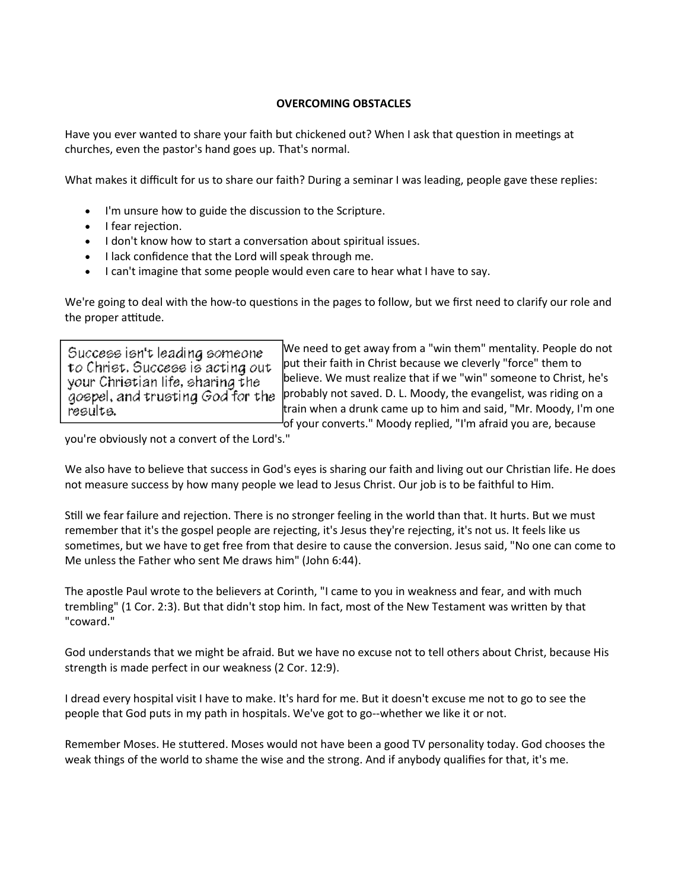## OVERCOMING OBSTACLES

Have you ever wanted to share your faith but chickened out? When I ask that question in meetings at churches, even the pastor's hand goes up. That's normal.

What makes it difficult for us to share our faith? During a seminar I was leading, people gave these replies:

- I'm unsure how to guide the discussion to the Scripture.
- I fear rejection.
- I don't know how to start a conversation about spiritual issues.
- I lack confidence that the Lord will speak through me.
- I can't imagine that some people would even care to hear what I have to say.

We're going to deal with the how-to questions in the pages to follow, but we first need to clarify our role and the proper attitude.

| Success isn't leading someone    |
|----------------------------------|
| to Christ. Success is acting out |
| your Christian life, sharing the |
| gospel, and trusting God for the |
| results.                         |

We need to get away from a "win them" mentality. People do not put their faith in Christ because we cleverly "force" them to believe. We must realize that if we "win" someone to Christ, he's probably not saved. D. L. Moody, the evangelist, was riding on a train when a drunk came up to him and said, "Mr. Moody, I'm one <sup>1</sup>of your converts." Moody replied, "I'm afraid you are, because

you're obviously not a convert of the Lord's."

We also have to believe that success in God's eyes is sharing our faith and living out our Christian life. He does not measure success by how many people we lead to Jesus Christ. Our job is to be faithful to Him.

Still we fear failure and rejection. There is no stronger feeling in the world than that. It hurts. But we must remember that it's the gospel people are rejecting, it's Jesus they're rejecting, it's not us. It feels like us sometimes, but we have to get free from that desire to cause the conversion. Jesus said, "No one can come to Me unless the Father who sent Me draws him" (John 6:44).

The apostle Paul wrote to the believers at Corinth, "I came to you in weakness and fear, and with much trembling" (1 Cor. 2:3). But that didn't stop him. In fact, most of the New Testament was written by that "coward."

God understands that we might be afraid. But we have no excuse not to tell others about Christ, because His strength is made perfect in our weakness (2 Cor. 12:9).

I dread every hospital visit I have to make. It's hard for me. But it doesn't excuse me not to go to see the people that God puts in my path in hospitals. We've got to go--whether we like it or not.

Remember Moses. He stuttered. Moses would not have been a good TV personality today. God chooses the weak things of the world to shame the wise and the strong. And if anybody qualifies for that, it's me.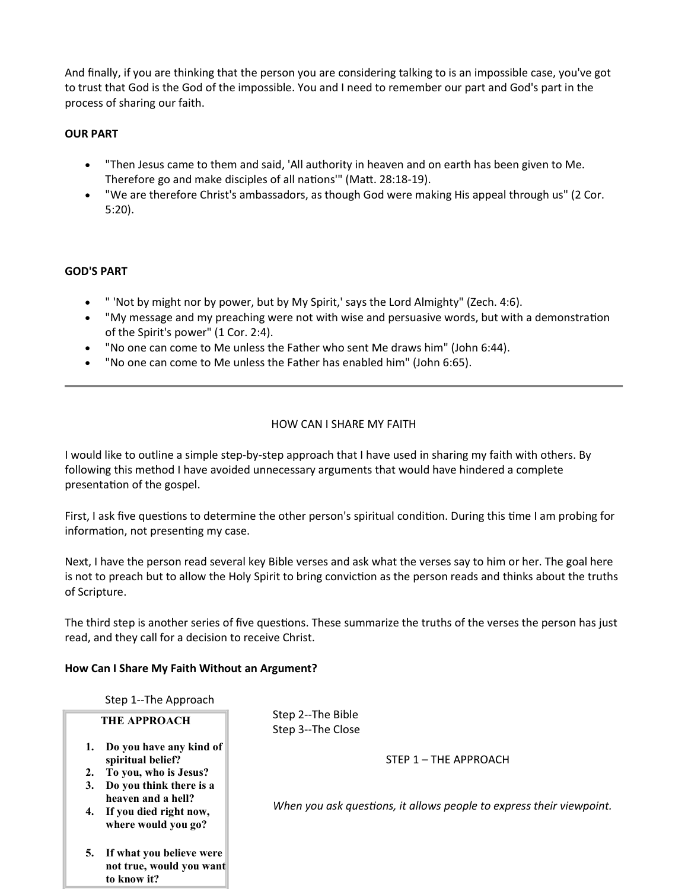And finally, if you are thinking that the person you are considering talking to is an impossible case, you've got to trust that God is the God of the impossible. You and I need to remember our part and God's part in the process of sharing our faith.

## OUR PART

- "Then Jesus came to them and said, 'All authority in heaven and on earth has been given to Me. Therefore go and make disciples of all nations"" (Matt. 28:18-19).
- "We are therefore Christ's ambassadors, as though God were making His appeal through us" (2 Cor. 5:20).

# GOD'S PART

- " 'Not by might nor by power, but by My Spirit,' says the Lord Almighty" (Zech. 4:6).
- "My message and my preaching were not with wise and persuasive words, but with a demonstration of the Spirit's power" (1 Cor. 2:4).
- "No one can come to Me unless the Father who sent Me draws him" (John 6:44).
- "No one can come to Me unless the Father has enabled him" (John 6:65).

## HOW CAN I SHARE MY FAITH

I would like to outline a simple step-by-step approach that I have used in sharing my faith with others. By following this method I have avoided unnecessary arguments that would have hindered a complete presentation of the gospel.

First, I ask five questions to determine the other person's spiritual condition. During this time I am probing for information, not presenting my case.

Next, I have the person read several key Bible verses and ask what the verses say to him or her. The goal here is not to preach but to allow the Holy Spirit to bring conviction as the person reads and thinks about the truths of Scripture.

The third step is another series of five questions. These summarize the truths of the verses the person has just read, and they call for a decision to receive Christ.

## How Can I Share My Faith Without an Argument?

Step 1--The Approach

to know it?

|                | <b>THE APPROACH</b>                                                                                                                                                        | Step 2--The Bible<br>Step 3--The Close                                                        |
|----------------|----------------------------------------------------------------------------------------------------------------------------------------------------------------------------|-----------------------------------------------------------------------------------------------|
| 1.<br>3.<br>4. | Do you have any kind of<br>spiritual belief?<br>2. To you, who is Jesus?<br>Do you think there is a<br>heaven and a hell?<br>If you died right now,<br>where would you go? | STEP 1 - THE APPROACH<br>When you ask questions, it allows people to express their viewpoint. |
| 5.             | If what you believe were<br>not true, would you want                                                                                                                       |                                                                                               |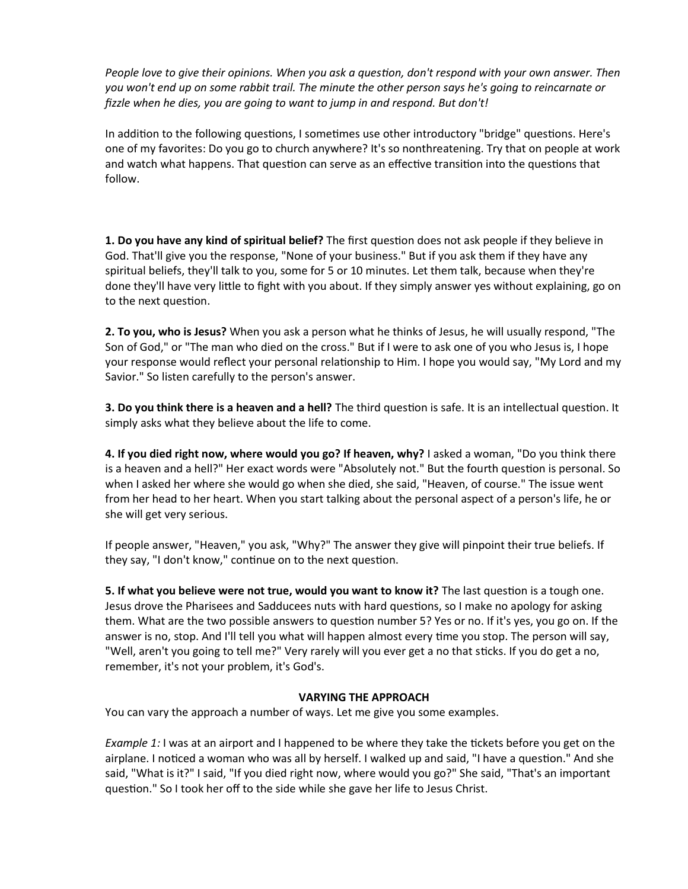People love to give their opinions. When you ask a question, don't respond with your own answer. Then you won't end up on some rabbit trail. The minute the other person says he's going to reincarnate or fizzle when he dies, you are going to want to jump in and respond. But don't!

In addition to the following questions, I sometimes use other introductory "bridge" questions. Here's one of my favorites: Do you go to church anywhere? It's so nonthreatening. Try that on people at work and watch what happens. That question can serve as an effective transition into the questions that follow.

1. Do you have any kind of spiritual belief? The first question does not ask people if they believe in God. That'll give you the response, "None of your business." But if you ask them if they have any spiritual beliefs, they'll talk to you, some for 5 or 10 minutes. Let them talk, because when they're done they'll have very little to fight with you about. If they simply answer yes without explaining, go on to the next question.

2. To you, who is Jesus? When you ask a person what he thinks of Jesus, he will usually respond, "The Son of God," or "The man who died on the cross." But if I were to ask one of you who Jesus is, I hope your response would reflect your personal relationship to Him. I hope you would say, "My Lord and my Savior." So listen carefully to the person's answer.

3. Do you think there is a heaven and a hell? The third question is safe. It is an intellectual question. It simply asks what they believe about the life to come.

4. If you died right now, where would you go? If heaven, why? I asked a woman, "Do you think there is a heaven and a hell?" Her exact words were "Absolutely not." But the fourth question is personal. So when I asked her where she would go when she died, she said, "Heaven, of course." The issue went from her head to her heart. When you start talking about the personal aspect of a person's life, he or she will get very serious.

If people answer, "Heaven," you ask, "Why?" The answer they give will pinpoint their true beliefs. If they say, "I don't know," continue on to the next question.

5. If what you believe were not true, would you want to know it? The last question is a tough one. Jesus drove the Pharisees and Sadducees nuts with hard questions, so I make no apology for asking them. What are the two possible answers to question number 5? Yes or no. If it's yes, you go on. If the answer is no, stop. And I'll tell you what will happen almost every time you stop. The person will say, "Well, aren't you going to tell me?" Very rarely will you ever get a no that sticks. If you do get a no, remember, it's not your problem, it's God's.

## VARYING THE APPROACH

You can vary the approach a number of ways. Let me give you some examples.

Example 1: I was at an airport and I happened to be where they take the tickets before you get on the airplane. I noticed a woman who was all by herself. I walked up and said, "I have a question." And she said, "What is it?" I said, "If you died right now, where would you go?" She said, "That's an important question." So I took her off to the side while she gave her life to Jesus Christ.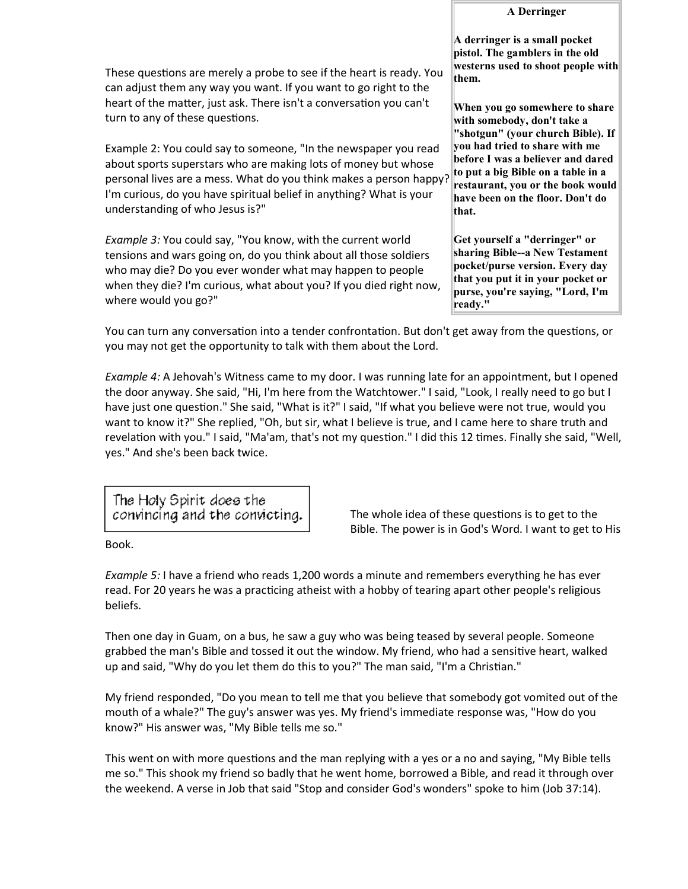A Derringer

These questions are merely a probe to see if the heart is ready. You can adjust them any way you want. If you want to go right to the heart of the matter, just ask. There isn't a conversation you can't turn to any of these questions.

Example 2: You could say to someone, "In the newspaper you read about sports superstars who are making lots of money but whose personal lives are a mess. What do you think makes a person happy? I'm curious, do you have spiritual belief in anything? What is your understanding of who Jesus is?"

Example 3: You could say, "You know, with the current world tensions and wars going on, do you think about all those soldiers who may die? Do you ever wonder what may happen to people when they die? I'm curious, what about you? If you died right now, where would you go?"

A derringer is a small pocket pistol. The gamblers in the old westerns used to shoot people with them.

When you go somewhere to share with somebody, don't take a "shotgun" (your church Bible). If you had tried to share with me before I was a believer and dared to put a big Bible on a table in a restaurant, you or the book would have been on the floor. Don't do that.

Get yourself a "derringer" or sharing Bible--a New Testament pocket/purse version. Every day that you put it in your pocket or purse, you're saying, "Lord, I'm ready."

You can turn any conversation into a tender confrontation. But don't get away from the questions, or you may not get the opportunity to talk with them about the Lord.

Example 4: A Jehovah's Witness came to my door. I was running late for an appointment, but I opened the door anyway. She said, "Hi, I'm here from the Watchtower." I said, "Look, I really need to go but I have just one question." She said, "What is it?" I said, "If what you believe were not true, would you want to know it?" She replied, "Oh, but sir, what I believe is true, and I came here to share truth and revelation with you." I said, "Ma'am, that's not my question." I did this 12 times. Finally she said, "Well, yes." And she's been back twice.

The Holy Spirit does the convincing and the convicting.

The whole idea of these questions is to get to the Bible. The power is in God's Word. I want to get to His

Book.

Example 5: I have a friend who reads 1,200 words a minute and remembers everything he has ever read. For 20 years he was a practicing atheist with a hobby of tearing apart other people's religious beliefs.

Then one day in Guam, on a bus, he saw a guy who was being teased by several people. Someone grabbed the man's Bible and tossed it out the window. My friend, who had a sensitive heart, walked up and said, "Why do you let them do this to you?" The man said, "I'm a Christian."

My friend responded, "Do you mean to tell me that you believe that somebody got vomited out of the mouth of a whale?" The guy's answer was yes. My friend's immediate response was, "How do you know?" His answer was, "My Bible tells me so."

This went on with more questions and the man replying with a yes or a no and saying, "My Bible tells me so." This shook my friend so badly that he went home, borrowed a Bible, and read it through over the weekend. A verse in Job that said "Stop and consider God's wonders" spoke to him (Job 37:14).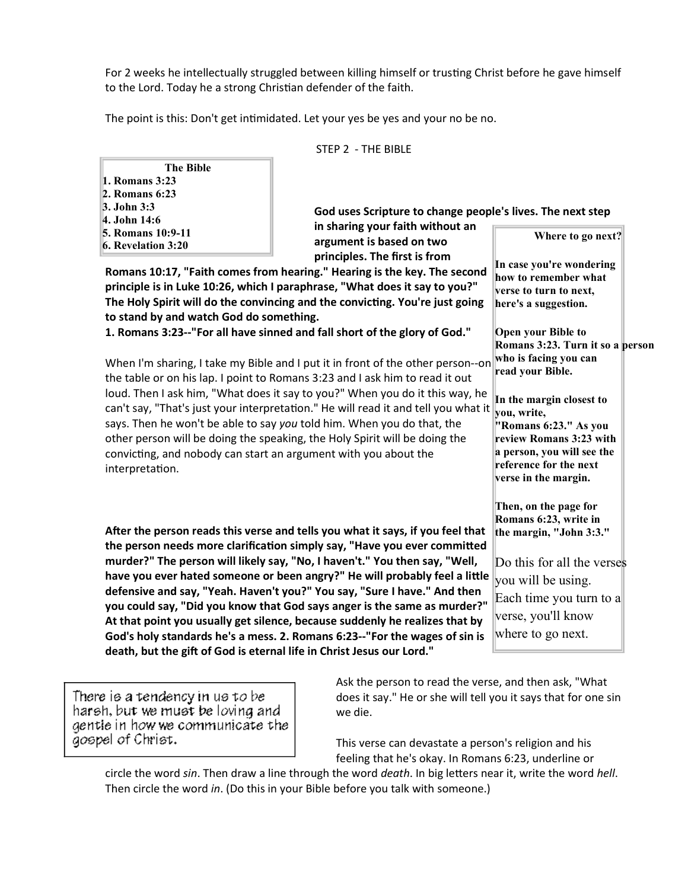For 2 weeks he intellectually struggled between killing himself or trusting Christ before he gave himself to the Lord. Today he a strong Christian defender of the faith.

The point is this: Don't get intimidated. Let your yes be yes and your no be no.

STEP 2 - THE BIBLE

| 1. Romans 3:23<br>2. Romans 6:23<br>3. John 3:3<br>4. John 14:6                                                                                                                                                                                                                                                                                                                                                  | God uses Scripture to change people's lives. The next step<br>in sharing your faith without an                                                                                                                                                                                                                         |                                                                                                         |  |
|------------------------------------------------------------------------------------------------------------------------------------------------------------------------------------------------------------------------------------------------------------------------------------------------------------------------------------------------------------------------------------------------------------------|------------------------------------------------------------------------------------------------------------------------------------------------------------------------------------------------------------------------------------------------------------------------------------------------------------------------|---------------------------------------------------------------------------------------------------------|--|
| <b>5. Romans 10:9-11</b><br>6. Revelation 3:20                                                                                                                                                                                                                                                                                                                                                                   | argument is based on two                                                                                                                                                                                                                                                                                               | Where to go next?                                                                                       |  |
| Romans 10:17, "Faith comes from hearing." Hearing is the key. The second<br>principle is in Luke 10:26, which I paraphrase, "What does it say to you?"<br>The Holy Spirit will do the convincing and the convicting. You're just going<br>to stand by and watch God do something.<br>1. Romans 3:23--"For all have sinned and fall short of the glory of God."                                                   | In case you're wondering<br>how to remember what<br>verse to turn to next,<br>here's a suggestion.<br>Open your Bible to<br>Romans 3:23. Turn it so a person                                                                                                                                                           |                                                                                                         |  |
| When I'm sharing, I take my Bible and I put it in front of the other person--on<br>the table or on his lap. I point to Romans 3:23 and I ask him to read it out                                                                                                                                                                                                                                                  | who is facing you can<br>read your Bible.                                                                                                                                                                                                                                                                              |                                                                                                         |  |
| loud. Then I ask him, "What does it say to you?" When you do it this way, he<br>can't say, "That's just your interpretation." He will read it and tell you what it<br>says. Then he won't be able to say you told him. When you do that, the<br>other person will be doing the speaking, the Holy Spirit will be doing the<br>convicting, and nobody can start an argument with you about the<br>interpretation. | In the margin closest to<br>you, write,<br>"Romans 6:23." As you<br>review Romans 3:23 with<br>a person, you will see the<br>reference for the next<br>verse in the margin.                                                                                                                                            |                                                                                                         |  |
|                                                                                                                                                                                                                                                                                                                                                                                                                  | After the person reads this verse and tells you what it says, if you feel that<br>the person needs more clarification simply say, "Have you ever committed<br>murder?" The person will likely say, "No, I haven't." You then say, "Well,<br>have you ever hated someone or been angry?" He will probably feel a little | Then, on the page for<br>Romans 6:23, write in<br>the margin, "John 3:3."<br>Do this for all the verses |  |
| defensive and say, "Yeah. Haven't you?" You say, "Sure I have." And then<br>you could say, "Did you know that God says anger is the same as murder?"                                                                                                                                                                                                                                                             | you will be using.<br>Each time you turn to a<br>verse, you'll know                                                                                                                                                                                                                                                    |                                                                                                         |  |
| God's holy standards he's a mess. 2. Romans 6:23--"For the wages of sin is                                                                                                                                                                                                                                                                                                                                       | At that point you usually get silence, because suddenly he realizes that by                                                                                                                                                                                                                                            | where to go next.                                                                                       |  |

There is a tendency in us to be harsh, but we must be loving and gentie in how we communicate the gospel of Christ.

The Bible

Ask the person to read the verse, and then ask, "What does it say." He or she will tell you it says that for one sin we die.

This verse can devastate a person's religion and his feeling that he's okay. In Romans 6:23, underline or

circle the word sin. Then draw a line through the word death. In big letters near it, write the word hell. Then circle the word in. (Do this in your Bible before you talk with someone.)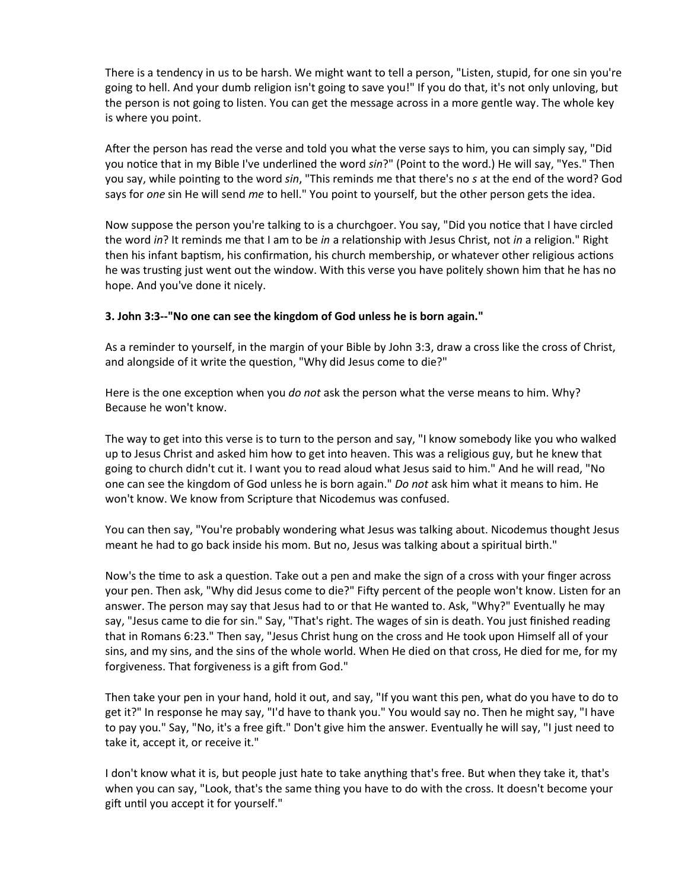There is a tendency in us to be harsh. We might want to tell a person, "Listen, stupid, for one sin you're going to hell. And your dumb religion isn't going to save you!" If you do that, it's not only unloving, but the person is not going to listen. You can get the message across in a more gentle way. The whole key is where you point.

After the person has read the verse and told you what the verse says to him, you can simply say, "Did you notice that in my Bible I've underlined the word sin?" (Point to the word.) He will say, "Yes." Then you say, while pointing to the word sin, "This reminds me that there's no s at the end of the word? God says for one sin He will send me to hell." You point to yourself, but the other person gets the idea.

Now suppose the person you're talking to is a churchgoer. You say, "Did you notice that I have circled the word in? It reminds me that I am to be in a relationship with Jesus Christ, not in a religion." Right then his infant baptism, his confirmation, his church membership, or whatever other religious actions he was trusting just went out the window. With this verse you have politely shown him that he has no hope. And you've done it nicely.

# 3. John 3:3--"No one can see the kingdom of God unless he is born again."

As a reminder to yourself, in the margin of your Bible by John 3:3, draw a cross like the cross of Christ, and alongside of it write the question, "Why did Jesus come to die?"

Here is the one exception when you do not ask the person what the verse means to him. Why? Because he won't know.

The way to get into this verse is to turn to the person and say, "I know somebody like you who walked up to Jesus Christ and asked him how to get into heaven. This was a religious guy, but he knew that going to church didn't cut it. I want you to read aloud what Jesus said to him." And he will read, "No one can see the kingdom of God unless he is born again." Do not ask him what it means to him. He won't know. We know from Scripture that Nicodemus was confused.

You can then say, "You're probably wondering what Jesus was talking about. Nicodemus thought Jesus meant he had to go back inside his mom. But no, Jesus was talking about a spiritual birth."

Now's the time to ask a question. Take out a pen and make the sign of a cross with your finger across your pen. Then ask, "Why did Jesus come to die?" Fifty percent of the people won't know. Listen for an answer. The person may say that Jesus had to or that He wanted to. Ask, "Why?" Eventually he may say, "Jesus came to die for sin." Say, "That's right. The wages of sin is death. You just finished reading that in Romans 6:23." Then say, "Jesus Christ hung on the cross and He took upon Himself all of your sins, and my sins, and the sins of the whole world. When He died on that cross, He died for me, for my forgiveness. That forgiveness is a gift from God."

Then take your pen in your hand, hold it out, and say, "If you want this pen, what do you have to do to get it?" In response he may say, "I'd have to thank you." You would say no. Then he might say, "I have to pay you." Say, "No, it's a free gift." Don't give him the answer. Eventually he will say, "I just need to take it, accept it, or receive it."

I don't know what it is, but people just hate to take anything that's free. But when they take it, that's when you can say, "Look, that's the same thing you have to do with the cross. It doesn't become your gift until you accept it for yourself."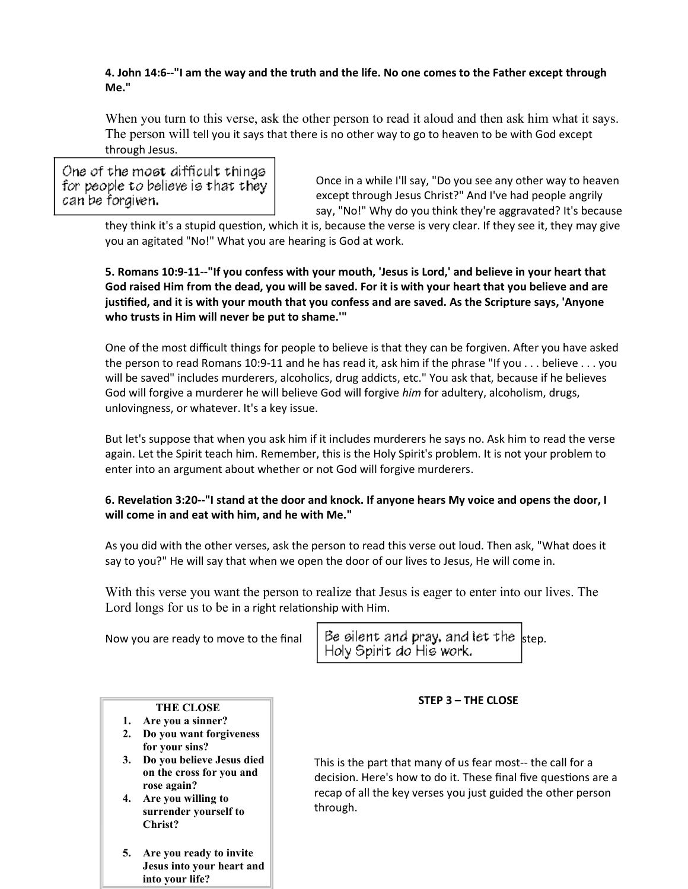# 4. John 14:6--"I am the way and the truth and the life. No one comes to the Father except through Me."

When you turn to this verse, ask the other person to read it aloud and then ask him what it says. The person will tell you it says that there is no other way to go to heaven to be with God except through Jesus.

One of the most difficult things for people to believe is that they can be forgiven.

Once in a while I'll say, "Do you see any other way to heaven except through Jesus Christ?" And I've had people angrily say, "No!" Why do you think they're aggravated? It's because

they think it's a stupid question, which it is, because the verse is very clear. If they see it, they may give you an agitated "No!" What you are hearing is God at work.

5. Romans 10:9-11--"If you confess with your mouth, 'Jesus is Lord,' and believe in your heart that God raised Him from the dead, you will be saved. For it is with your heart that you believe and are justified, and it is with your mouth that you confess and are saved. As the Scripture says, 'Anyone who trusts in Him will never be put to shame.'"

One of the most difficult things for people to believe is that they can be forgiven. After you have asked the person to read Romans 10:9-11 and he has read it, ask him if the phrase "If you . . . believe . . . you will be saved" includes murderers, alcoholics, drug addicts, etc." You ask that, because if he believes God will forgive a murderer he will believe God will forgive him for adultery, alcoholism, drugs, unlovingness, or whatever. It's a key issue.

But let's suppose that when you ask him if it includes murderers he says no. Ask him to read the verse again. Let the Spirit teach him. Remember, this is the Holy Spirit's problem. It is not your problem to enter into an argument about whether or not God will forgive murderers.

# 6. Revelation 3:20--"I stand at the door and knock. If anyone hears My voice and opens the door, I will come in and eat with him, and he with Me."

As you did with the other verses, ask the person to read this verse out loud. Then ask, "What does it say to you?" He will say that when we open the door of our lives to Jesus, He will come in.

With this verse you want the person to realize that Jesus is eager to enter into our lives. The Lord longs for us to be in a right relationship with Him.

Now you are ready to move to the final  $\begin{array}{c} \big| \text{Be} \text{ silent} \text{ and } \text{pray, and let the step.} \\ \text{Holy Spirit do His work.} \end{array}$ 

# STEP 3 – THE CLOSE

#### THE CLOSE

- 1. Are you a sinner? 2. Do you want forgiveness for your sins?
- 3. Do you believe Jesus died on the cross for you and rose again?
- 4. Are you willing to surrender yourself to Christ?
- 5. Are you ready to invite Jesus into your heart and into your life?

This is the part that many of us fear most-- the call for a decision. Here's how to do it. These final five questions are a recap of all the key verses you just guided the other person through.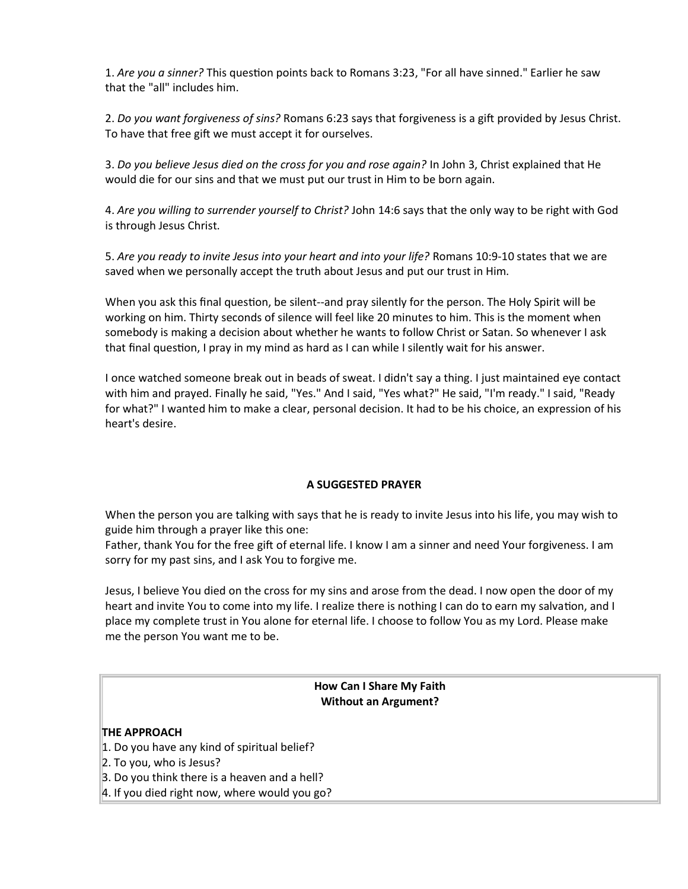1. Are you a sinner? This question points back to Romans 3:23, "For all have sinned." Earlier he saw that the "all" includes him.

2. Do you want forgiveness of sins? Romans 6:23 says that forgiveness is a gift provided by Jesus Christ. To have that free gift we must accept it for ourselves.

3. Do you believe Jesus died on the cross for you and rose again? In John 3, Christ explained that He would die for our sins and that we must put our trust in Him to be born again.

4. Are you willing to surrender yourself to Christ? John 14:6 says that the only way to be right with God is through Jesus Christ.

5. Are you ready to invite Jesus into your heart and into your life? Romans 10:9-10 states that we are saved when we personally accept the truth about Jesus and put our trust in Him.

When you ask this final question, be silent--and pray silently for the person. The Holy Spirit will be working on him. Thirty seconds of silence will feel like 20 minutes to him. This is the moment when somebody is making a decision about whether he wants to follow Christ or Satan. So whenever I ask that final question, I pray in my mind as hard as I can while I silently wait for his answer.

I once watched someone break out in beads of sweat. I didn't say a thing. I just maintained eye contact with him and prayed. Finally he said, "Yes." And I said, "Yes what?" He said, "I'm ready." I said, "Ready for what?" I wanted him to make a clear, personal decision. It had to be his choice, an expression of his heart's desire.

## A SUGGESTED PRAYER

When the person you are talking with says that he is ready to invite Jesus into his life, you may wish to guide him through a prayer like this one:

Father, thank You for the free gift of eternal life. I know I am a sinner and need Your forgiveness. I am sorry for my past sins, and I ask You to forgive me.

Jesus, I believe You died on the cross for my sins and arose from the dead. I now open the door of my heart and invite You to come into my life. I realize there is nothing I can do to earn my salvation, and I place my complete trust in You alone for eternal life. I choose to follow You as my Lord. Please make me the person You want me to be.

# How Can I Share My Faith Without an Argument?

## THE APPROACH

- 1. Do you have any kind of spiritual belief?
- 2. To you, who is Jesus?
- 3. Do you think there is a heaven and a hell?
- 4. If you died right now, where would you go?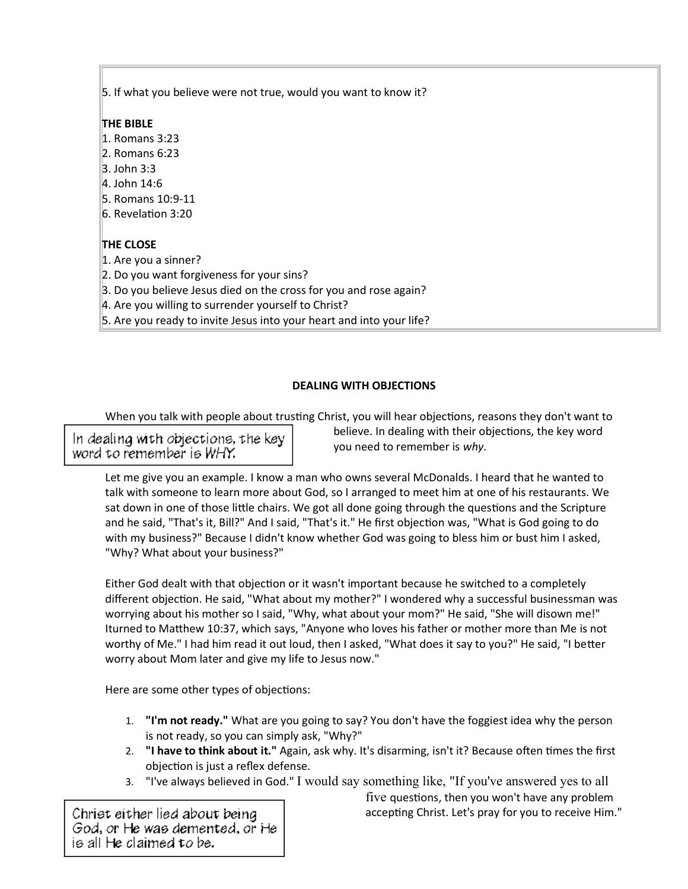5. If what you believe were not true, would you want to know it?

# THE BIBLE

- 1. Romans 3:23
- 2. Romans 6:23
- 3. John 3:3
- 4. John 14:6
- 5. Romans 10:9-11
- 6. RevelaƟon 3:20

# THE CLOSE

- 1. Are you a sinner?
- 2. Do you want forgiveness for your sins?
- 3. Do you believe Jesus died on the cross for you and rose again?
- 4. Are you willing to surrender yourself to Christ?
- 5. Are you ready to invite Jesus into your heart and into your life?

# DEALING WITH OBJECTIONS

When you talk with people about trusting Christ, you will hear objections, reasons they don't want to

In dealing with objections, the key word to remember is WHY.

believe. In dealing with their objections, the key word you need to remember is why.

Let me give you an example. I know a man who owns several McDonalds. I heard that he wanted to talk with someone to learn more about God, so I arranged to meet him at one of his restaurants. We sat down in one of those little chairs. We got all done going through the questions and the Scripture and he said, "That's it, Bill?" And I said, "That's it." He first objection was, "What is God going to do with my business?" Because I didn't know whether God was going to bless him or bust him I asked, "Why? What about your business?"

Either God dealt with that objection or it wasn't important because he switched to a completely different objection. He said, "What about my mother?" I wondered why a successful businessman was worrying about his mother so I said, "Why, what about your mom?" He said, "She will disown me!" Iturned to Matthew 10:37, which says, "Anyone who loves his father or mother more than Me is not worthy of Me." I had him read it out loud, then I asked, "What does it say to you?" He said, "I better worry about Mom later and give my life to Jesus now."

Here are some other types of objections:

- 1. "I'm not ready." What are you going to say? You don't have the foggiest idea why the person is not ready, so you can simply ask, "Why?"
- 2. "I have to think about it." Again, ask why. It's disarming, isn't it? Because often times the first objection is just a reflex defense.
- 3. "I've always believed in God." I would say something like, "If you've answered yes to all

Christ either lied about being God, or He was demented, or He is all He claimed to be.

five questions, then you won't have any problem accepting Christ. Let's pray for you to receive Him."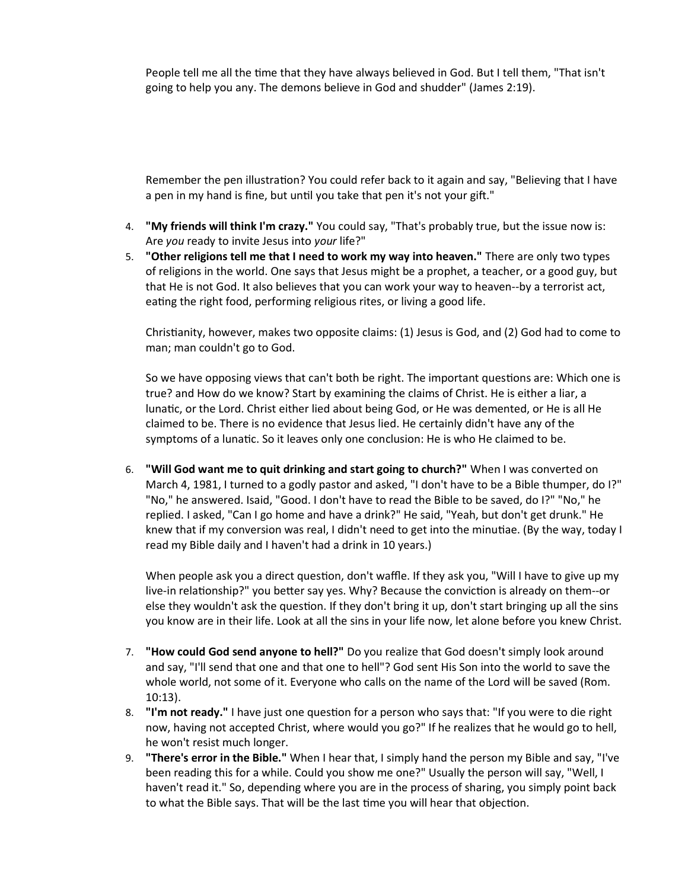People tell me all the time that they have always believed in God. But I tell them, "That isn't going to help you any. The demons believe in God and shudder" (James 2:19).

Remember the pen illustration? You could refer back to it again and say, "Believing that I have a pen in my hand is fine, but until you take that pen it's not your gift."

- 4. "My friends will think I'm crazy." You could say, "That's probably true, but the issue now is: Are you ready to invite Jesus into your life?"
- 5. "Other religions tell me that I need to work my way into heaven." There are only two types of religions in the world. One says that Jesus might be a prophet, a teacher, or a good guy, but that He is not God. It also believes that you can work your way to heaven--by a terrorist act, eating the right food, performing religious rites, or living a good life.

Christianity, however, makes two opposite claims: (1) Jesus is God, and (2) God had to come to man; man couldn't go to God.

So we have opposing views that can't both be right. The important questions are: Which one is true? and How do we know? Start by examining the claims of Christ. He is either a liar, a lunaƟc, or the Lord. Christ either lied about being God, or He was demented, or He is all He claimed to be. There is no evidence that Jesus lied. He certainly didn't have any of the symptoms of a lunatic. So it leaves only one conclusion: He is who He claimed to be.

6. "Will God want me to quit drinking and start going to church?" When I was converted on March 4, 1981, I turned to a godly pastor and asked, "I don't have to be a Bible thumper, do I?" "No," he answered. Isaid, "Good. I don't have to read the Bible to be saved, do I?" "No," he replied. I asked, "Can I go home and have a drink?" He said, "Yeah, but don't get drunk." He knew that if my conversion was real, I didn't need to get into the minutiae. (By the way, today I read my Bible daily and I haven't had a drink in 10 years.)

When people ask you a direct question, don't waffle. If they ask you, "Will I have to give up my live-in relationship?" you better say yes. Why? Because the conviction is already on them--or else they wouldn't ask the question. If they don't bring it up, don't start bringing up all the sins you know are in their life. Look at all the sins in your life now, let alone before you knew Christ.

- 7. "How could God send anyone to hell?" Do you realize that God doesn't simply look around and say, "I'll send that one and that one to hell"? God sent His Son into the world to save the whole world, not some of it. Everyone who calls on the name of the Lord will be saved (Rom. 10:13).
- 8. "I'm not ready." I have just one question for a person who says that: "If you were to die right now, having not accepted Christ, where would you go?" If he realizes that he would go to hell, he won't resist much longer.
- 9. "There's error in the Bible." When I hear that, I simply hand the person my Bible and say, "I've been reading this for a while. Could you show me one?" Usually the person will say, "Well, I haven't read it." So, depending where you are in the process of sharing, you simply point back to what the Bible says. That will be the last time you will hear that objection.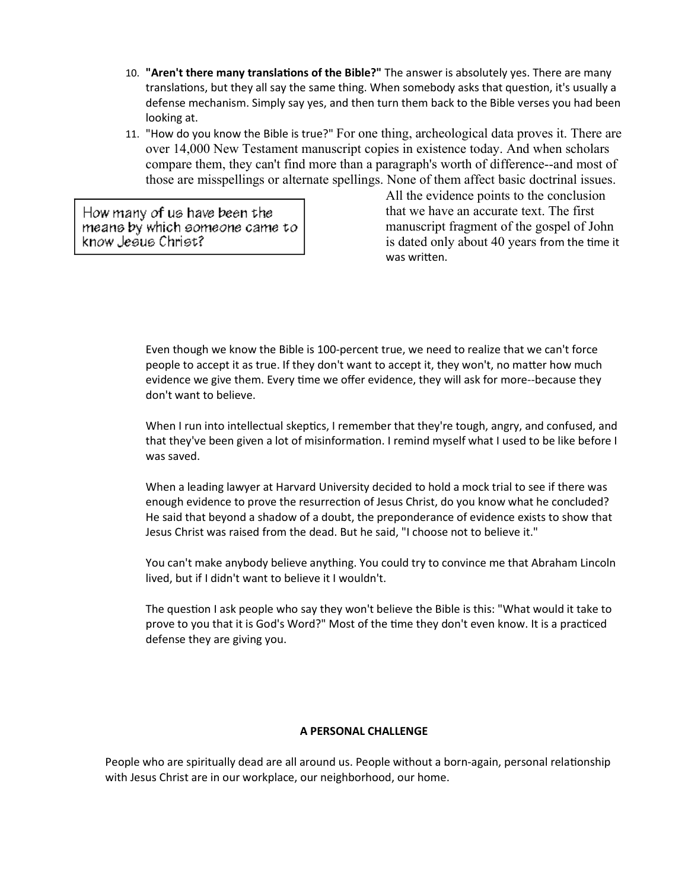- 10. "Aren't there many translations of the Bible?" The answer is absolutely yes. There are many translations, but they all say the same thing. When somebody asks that question, it's usually a defense mechanism. Simply say yes, and then turn them back to the Bible verses you had been looking at.
- 11. "How do you know the Bible is true?" For one thing, archeological data proves it. There are over 14,000 New Testament manuscript copies in existence today. And when scholars compare them, they can't find more than a paragraph's worth of difference--and most of those are misspellings or alternate spellings. None of them affect basic doctrinal issues.

How many of us have been the means by which someone came to know Jesus Christ?

All the evidence points to the conclusion that we have an accurate text. The first manuscript fragment of the gospel of John is dated only about 40 years from the time it was written.

Even though we know the Bible is 100-percent true, we need to realize that we can't force people to accept it as true. If they don't want to accept it, they won't, no matter how much evidence we give them. Every time we offer evidence, they will ask for more--because they don't want to believe.

When I run into intellectual skeptics, I remember that they're tough, angry, and confused, and that they've been given a lot of misinformation. I remind myself what I used to be like before I was saved.

When a leading lawyer at Harvard University decided to hold a mock trial to see if there was enough evidence to prove the resurrection of Jesus Christ, do you know what he concluded? He said that beyond a shadow of a doubt, the preponderance of evidence exists to show that Jesus Christ was raised from the dead. But he said, "I choose not to believe it."

You can't make anybody believe anything. You could try to convince me that Abraham Lincoln lived, but if I didn't want to believe it I wouldn't.

The question I ask people who say they won't believe the Bible is this: "What would it take to prove to you that it is God's Word?" Most of the time they don't even know. It is a practiced defense they are giving you.

## A PERSONAL CHALLENGE

People who are spiritually dead are all around us. People without a born-again, personal relationship with Jesus Christ are in our workplace, our neighborhood, our home.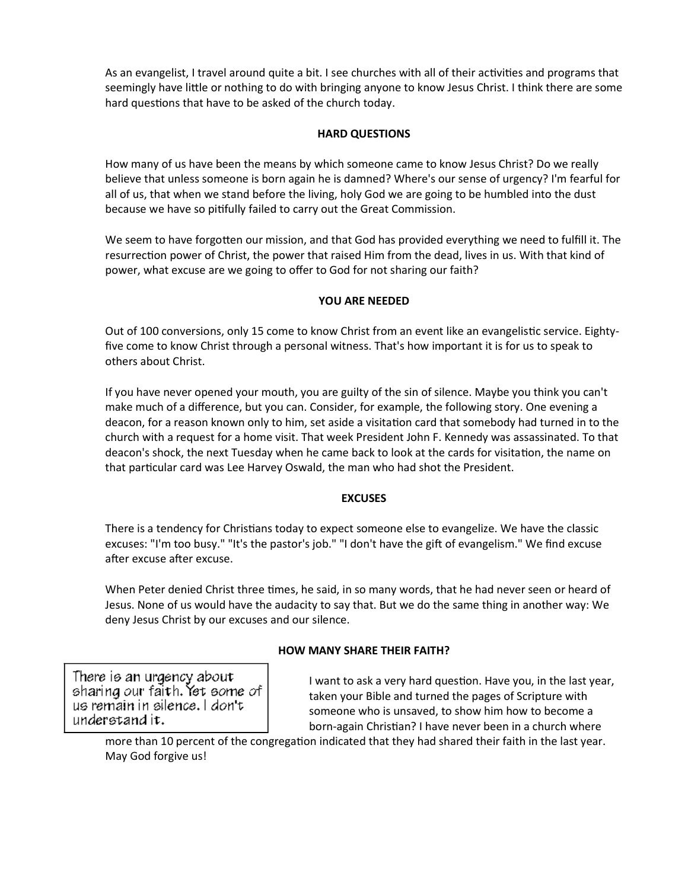As an evangelist, I travel around quite a bit. I see churches with all of their activities and programs that seemingly have little or nothing to do with bringing anyone to know Jesus Christ. I think there are some hard questions that have to be asked of the church today.

# HARD QUESTIONS

How many of us have been the means by which someone came to know Jesus Christ? Do we really believe that unless someone is born again he is damned? Where's our sense of urgency? I'm fearful for all of us, that when we stand before the living, holy God we are going to be humbled into the dust because we have so pitifully failed to carry out the Great Commission.

We seem to have forgotten our mission, and that God has provided everything we need to fulfill it. The resurrection power of Christ, the power that raised Him from the dead, lives in us. With that kind of power, what excuse are we going to offer to God for not sharing our faith?

# YOU ARE NEEDED

Out of 100 conversions, only 15 come to know Christ from an event like an evangelistic service. Eightyfive come to know Christ through a personal witness. That's how important it is for us to speak to others about Christ.

If you have never opened your mouth, you are guilty of the sin of silence. Maybe you think you can't make much of a difference, but you can. Consider, for example, the following story. One evening a deacon, for a reason known only to him, set aside a visitation card that somebody had turned in to the church with a request for a home visit. That week President John F. Kennedy was assassinated. To that deacon's shock, the next Tuesday when he came back to look at the cards for visitation, the name on that particular card was Lee Harvey Oswald, the man who had shot the President.

## **EXCUSES**

There is a tendency for Christians today to expect someone else to evangelize. We have the classic excuses: "I'm too busy." "It's the pastor's job." "I don't have the gift of evangelism." We find excuse after excuse after excuse.

When Peter denied Christ three times, he said, in so many words, that he had never seen or heard of Jesus. None of us would have the audacity to say that. But we do the same thing in another way: We deny Jesus Christ by our excuses and our silence.

HOW MANY SHARE THEIR FAITH?

I want to ask a very hard question. Have you, in the last year, taken your Bible and turned the pages of Scripture with someone who is unsaved, to show him how to become a born-again Christian? I have never been in a church where

more than 10 percent of the congregation indicated that they had shared their faith in the last year. May God forgive us!

There is an urgency about sharing our faith. Yet some of us remain in silence. I don't understand it.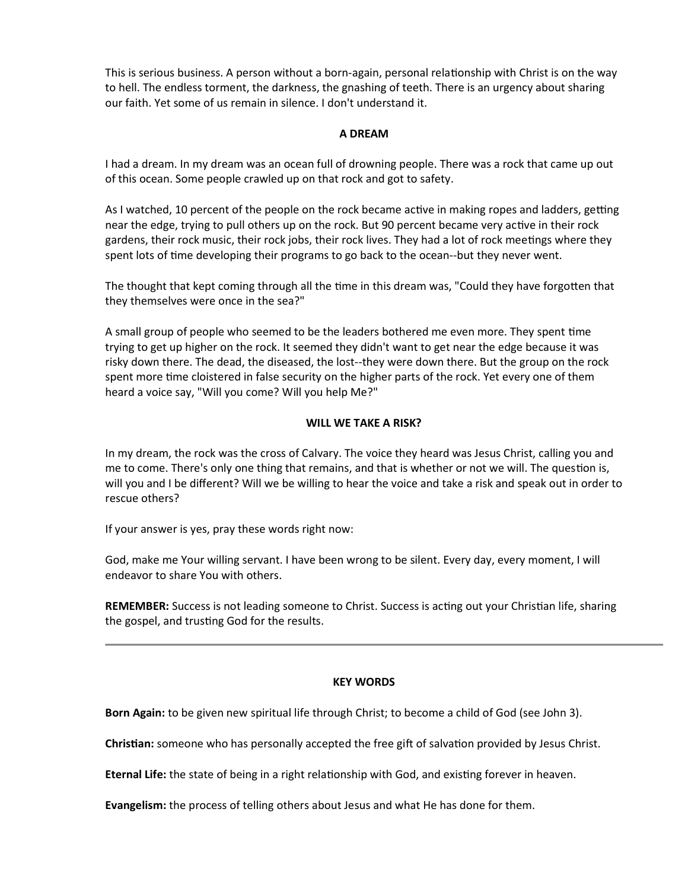This is serious business. A person without a born-again, personal relationship with Christ is on the way to hell. The endless torment, the darkness, the gnashing of teeth. There is an urgency about sharing our faith. Yet some of us remain in silence. I don't understand it.

#### A DREAM

I had a dream. In my dream was an ocean full of drowning people. There was a rock that came up out of this ocean. Some people crawled up on that rock and got to safety.

As I watched, 10 percent of the people on the rock became active in making ropes and ladders, getting near the edge, trying to pull others up on the rock. But 90 percent became very active in their rock gardens, their rock music, their rock jobs, their rock lives. They had a lot of rock meetings where they spent lots of time developing their programs to go back to the ocean--but they never went.

The thought that kept coming through all the time in this dream was, "Could they have forgotten that they themselves were once in the sea?"

A small group of people who seemed to be the leaders bothered me even more. They spent time trying to get up higher on the rock. It seemed they didn't want to get near the edge because it was risky down there. The dead, the diseased, the lost--they were down there. But the group on the rock spent more time cloistered in false security on the higher parts of the rock. Yet every one of them heard a voice say, "Will you come? Will you help Me?"

#### WILL WE TAKE A RISK?

In my dream, the rock was the cross of Calvary. The voice they heard was Jesus Christ, calling you and me to come. There's only one thing that remains, and that is whether or not we will. The question is, will you and I be different? Will we be willing to hear the voice and take a risk and speak out in order to rescue others?

If your answer is yes, pray these words right now:

God, make me Your willing servant. I have been wrong to be silent. Every day, every moment, I will endeavor to share You with others.

**REMEMBER:** Success is not leading someone to Christ. Success is acting out your Christian life, sharing the gospel, and trusting God for the results.

## KEY WORDS

Born Again: to be given new spiritual life through Christ; to become a child of God (see John 3).

Christian: someone who has personally accepted the free gift of salvation provided by Jesus Christ.

Eternal Life: the state of being in a right relationship with God, and existing forever in heaven.

Evangelism: the process of telling others about Jesus and what He has done for them.